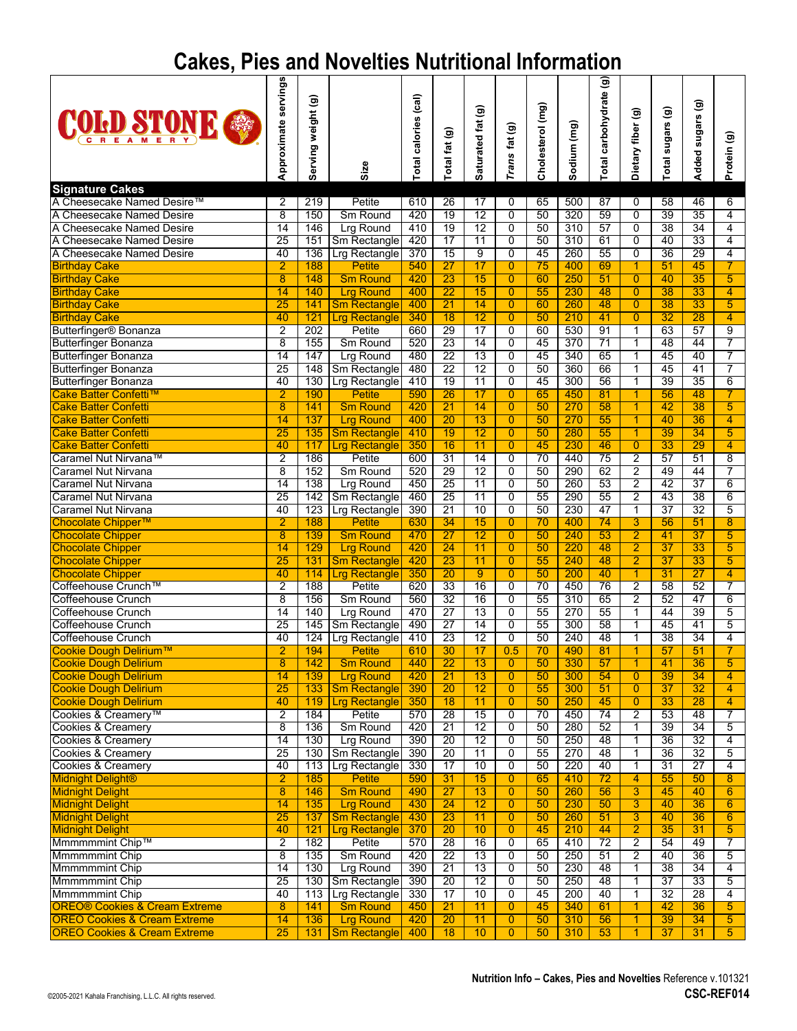## **Cakes, Pies and Novelties Nutritional Information**

| <b>COID STONE &amp;</b>                                                             | servings<br>Approximate            | Serving weight (g) | Size                                    | (cal)<br><b>Total calories</b> | $\widehat{\mathbf{e}}$<br>fat<br><b>Total</b> | Saturated fat (g)     | fat (g)<br>Trans                 | Cholesterol (mg) | Sodium (mg) | $\widehat{\mathbf{e}}$<br>Total carbohydrate | $\widehat{\mathbf{e}}$<br>Dietary fiber | $\widehat{\mathbf{e}}$<br>sugars<br>Total | $\widehat{\mathbf{g}}$<br>sugars<br>Added | Protein (g)                      |
|-------------------------------------------------------------------------------------|------------------------------------|--------------------|-----------------------------------------|--------------------------------|-----------------------------------------------|-----------------------|----------------------------------|------------------|-------------|----------------------------------------------|-----------------------------------------|-------------------------------------------|-------------------------------------------|----------------------------------|
| <b>Signature Cakes</b>                                                              |                                    |                    |                                         |                                |                                               |                       |                                  |                  |             |                                              |                                         |                                           |                                           |                                  |
| A Cheesecake Named Desire™<br>A Cheesecake Named Desire                             | 2<br>$\overline{8}$                | 219<br>150         | Petite<br>Sm Round                      | 610<br>420                     | $\overline{26}$<br>$\overline{19}$            | 17<br>12              | 0<br>$\overline{0}$              | 65<br>50         | 500<br>320  | 87<br>59                                     | 0<br>$\overline{0}$                     | 58<br>39                                  | 46<br>35                                  | 6<br>$\overline{4}$              |
| A Cheesecake Named Desire                                                           | $\overline{14}$                    | 146                | <b>Lrg Round</b>                        | 410                            | 19                                            | 12                    | 0                                | 50               | 310         | 57                                           | $\overline{0}$                          | 38                                        | 34                                        | 4                                |
| A Cheesecake Named Desire                                                           | $\overline{25}$                    | 151                | Sm Rectangle                            | 420                            | 17                                            | 11                    | 0                                | 50               | 310         | 61                                           | $\mathbf 0$                             | 40                                        | 33                                        | 4                                |
| A Cheesecake Named Desire                                                           | 40                                 | 136                | Lrg Rectangle                           | 370                            | 15                                            | $\overline{9}$        | 0                                | 45               | 260         | 55                                           | $\mathbf 0$                             | 36                                        | 29                                        | $\overline{4}$                   |
| <b>Birthday Cake</b>                                                                | $\overline{2}$                     | 188                | <b>Petite</b>                           | 540                            | $\overline{27}$                               | 17                    | $\Omega$                         | 75               | 400         | 69                                           | 1.                                      | 51                                        | 45                                        | $\overline{7}$                   |
| <b>Birthday Cake</b>                                                                | $\overline{8}$                     | 148                | <b>Sm Round</b>                         | 420                            | $\overline{23}$                               | $\overline{15}$       | $\overline{0}$                   | 60               | 250         | 51                                           | $\overline{0}$                          | 40                                        | $\overline{35}$                           | $\overline{5}$                   |
| <b>Birthday Cake</b><br><b>Birthday Cake</b>                                        | $\overline{14}$<br>$\overline{25}$ | 140<br>141         | <b>Lrg Round</b><br><b>Sm Rectangle</b> | 400<br>400                     | $\overline{22}$<br>$\overline{21}$            | 15<br>14              | $\overline{0}$<br>$\overline{0}$ | 55<br>60         | 230<br>260  | 48<br>48                                     | $\overline{0}$<br>$\overline{0}$        | $\overline{38}$<br>$\overline{38}$        | 33<br>$\overline{33}$                     | $\overline{4}$<br>$\overline{5}$ |
| <b>Birthday Cake</b>                                                                | 40                                 | 121                | <b>Lrg Rectangle</b>                    | 340                            | $\overline{18}$                               | $\overline{12}$       | $\overline{0}$                   | 50               | 210         | 41                                           | $\overline{0}$                          | $\overline{32}$                           | 28                                        | $\overline{4}$                   |
| Butterfinger <sup>®</sup> Bonanza                                                   | $\overline{2}$                     | 202                | Petite                                  | 660                            | 29                                            | 17                    | 0                                | 60               | 530         | 91                                           | 1                                       | 63                                        | 57                                        | $\overline{9}$                   |
| <b>Butterfinger Bonanza</b>                                                         | $\overline{8}$                     | 155                | Sm Round                                | 520                            | 23                                            | $\overline{14}$       | 0                                | 45               | 370         | $\overline{71}$                              | 1                                       | 48                                        | 44                                        | 7                                |
| <b>Butterfinger Bonanza</b>                                                         | 14                                 | 147                | <b>Lrg Round</b>                        | 480                            | $\overline{22}$                               | 13                    | $\overline{0}$                   | 45               | 340         | 65                                           | 1                                       | 45                                        | 40                                        | 7                                |
| <b>Butterfinger Bonanza</b>                                                         | $\overline{25}$                    | $\overline{148}$   | Sm Rectangle                            | 480                            | $\overline{22}$                               | 12                    | $\mathbf 0$                      | 50               | 360         | 66                                           | 1                                       | 45                                        | 41                                        | 7                                |
| <b>Butterfinger Bonanza</b>                                                         | 40                                 | 130                | Lrg Rectangle                           | 410                            | 19                                            | 11                    | $\mathbf 0$                      | 45               | 300         | 56                                           | 1                                       | 39                                        | 35                                        | $\overline{6}$                   |
| Cake Batter Confetti™<br><b>Cake Batter Confetti</b>                                | $\overline{2}$<br>$\overline{8}$   | 190<br>141         | <b>Petite</b><br><b>Sm Round</b>        | 590<br>420                     | $\overline{26}$<br>$\overline{21}$            | 17<br>$\overline{14}$ | 0<br>$\overline{0}$              | 65<br>50         | 450<br>270  | 81<br>58                                     | 1<br>1                                  | 56<br>42                                  | 48<br>$\overline{38}$                     | 7<br>$\overline{5}$              |
| <b>Cake Batter Confetti</b>                                                         | 14                                 | 137                | <b>Lrg Round</b>                        | 400                            | $\overline{20}$                               | $\overline{13}$       | $\overline{0}$                   | 50               | 270         | 55                                           | 1                                       | 40                                        | $\overline{36}$                           | 4                                |
| <b>Cake Batter Confetti</b>                                                         | $\overline{25}$                    | 135                | <b>Sm Rectangle</b>                     | 410                            | 19                                            | $\overline{12}$       | $\overline{0}$                   | 50               | 280         | 55                                           | 1                                       | 39                                        | $\overline{34}$                           | $\overline{5}$                   |
| <b>Cake Batter Confetti</b>                                                         | 40                                 | 117                | <b>Lrg Rectangle</b>                    | 350                            | 16                                            | $\overline{11}$       | $\overline{0}$                   | 45               | 230         | 46                                           | $\overline{0}$                          | $\overline{33}$                           | 29                                        | $\overline{4}$                   |
| Caramel Nut Nirvana™                                                                | $\overline{2}$                     | 186                | Petite                                  | 600                            | $\overline{31}$                               | 14                    | 0                                | 70               | 440         | 75                                           | $\overline{2}$                          | 57                                        | 51                                        | $\overline{8}$                   |
| <b>Caramel Nut Nirvana</b>                                                          | $\overline{8}$                     | 152                | Sm Round                                | 520                            | 29                                            | 12                    | 0                                | 50               | 290         | 62                                           | $\overline{2}$                          | 49                                        | 44                                        | 7                                |
| <b>Caramel Nut Nirvana</b>                                                          | 14                                 | 138                | <b>Lrg Round</b>                        | 450                            | 25                                            | 11                    | $\overline{0}$                   | 50               | 260         | 53                                           | $\overline{2}$                          | 42                                        | $\overline{37}$                           | $6\overline{6}$                  |
| <b>Caramel Nut Nirvana</b>                                                          | 25                                 |                    | 142   Sm Rectangle                      | 460                            | 25                                            | 11                    | $\overline{0}$                   | 55               | 290         | 55                                           | $\overline{2}$                          | 43                                        | $\overline{38}$                           | $6\overline{6}$                  |
| Caramel Nut Nirvana<br>Chocolate Chipper™                                           | 40<br>$\overline{2}$               | 188                | 123 Lrg Rectangle<br><b>Petite</b>      | 390<br>630                     | 21<br>34                                      | 10<br>15              | $\overline{0}$<br>$\overline{0}$ | 50<br>70         | 230<br>400  | 47<br>74                                     | 1<br>3                                  | 37<br>56                                  | 32<br>51                                  | 5<br>$\overline{8}$              |
| <b>Chocolate Chipper</b>                                                            | $\overline{8}$                     | 139                | <b>Sm Round</b>                         | 470                            | $\overline{27}$                               | 12                    | $\overline{0}$                   | 50               | 240         | 53                                           | $\overline{2}$                          | 41                                        | $\overline{37}$                           | 5                                |
| <b>Chocolate Chipper</b>                                                            | $\overline{14}$                    | 129                | <b>Lrg Round</b>                        | 420                            | 24                                            | 11                    | $\overline{0}$                   | 50               | 220         | 48                                           | $\overline{2}$                          | 37                                        | 33                                        | $\overline{5}$                   |
| <b>Chocolate Chipper</b>                                                            | 25                                 | 131                | <b>Sm Rectangle</b>                     | 420                            | 23                                            | 11                    | $\overline{0}$                   | 55               | 240         | 48                                           | $\overline{2}$                          | 37                                        | 33                                        | $\overline{5}$                   |
| <b>Chocolate Chipper</b>                                                            | 40                                 | 114                | <b>Lrg Rectangle</b>                    | 350                            | $\overline{20}$                               | $\overline{9}$        | $\overline{0}$                   | 50               | 200         | 40                                           |                                         | $\overline{31}$                           | 27                                        | 4                                |
| Coffeehouse Crunch™                                                                 | $\overline{2}$                     | 188                | <b>Petite</b>                           | 620                            | 33                                            | 16                    | 0                                | 70               | 450         | 76                                           | $\overline{2}$                          | 58                                        | 52                                        | 7                                |
| <b>Coffeehouse Crunch</b><br><b>Coffeehouse Crunch</b>                              | $\overline{8}$<br>$\overline{14}$  | 156<br>140         | Sm Round                                | 560<br>470                     | 32<br>$\overline{27}$                         | 16<br>13              | $\overline{0}$<br>$\overline{0}$ | 55<br>55         | 310<br>270  | 65<br>55                                     | $\overline{2}$                          | 52<br>44                                  | 47<br>39                                  | $\overline{6}$<br>5              |
| <b>Coffeehouse Crunch</b>                                                           | 25                                 | 145                | <b>Lrg Round</b><br>Sm Rectangle        | 490                            | 27                                            | 14                    | $\overline{0}$                   | 55               | 300         | 58                                           | 1<br>1                                  | 45                                        | 41                                        | $\overline{5}$                   |
| <b>Coffeehouse Crunch</b>                                                           | 40                                 | 124                | <b>Lrg Rectangle</b>                    | 410                            | 23                                            | $\overline{12}$       | $\overline{0}$                   | 50               | 240         | 48                                           |                                         | 38                                        | 34                                        | 4                                |
| Cookie Dough Delirium™                                                              | $\overline{2}$                     | 194                | <b>Petite</b>                           | 610                            | 30                                            | 17                    | 0.5                              | 70               | 490         | 81                                           | 1                                       | 57                                        | 51                                        | 7                                |
| <b>Cookie Dough Delirium</b>                                                        | $\overline{8}$                     | 142                | <b>Sm Round</b>                         | 440                            | $\overline{22}$                               | 13                    | $\mathbf{0}$                     | 50               | 330         | 57                                           | 1                                       | 41                                        | 36                                        | $\overline{5}$                   |
| <b>Cookie Dough Delirium</b>                                                        | $\overline{14}$                    | 139                | <b>Lrg Round</b>                        | 420                            | $\overline{21}$                               | 13                    | $\overline{0}$                   | 50               | 300         | 54                                           | $\overline{0}$                          | 39                                        | 34                                        | $\overline{4}$                   |
| <b>Cookie Dough Delirium</b>                                                        | 25                                 | 133                | <b>Sm Rectangle</b>                     | 390                            | 20                                            | 12                    | $\overline{0}$                   | 55               | 300         | 51                                           | $\overline{0}$                          | 37                                        | 32                                        | 4                                |
| <b>Cookie Dough Delirium</b><br>Cookies & Creamery <sup>™</sup>                     | 40<br>$\overline{2}$               | 119<br>184         | <b>Lrg Rectangle</b><br><b>Petite</b>   | 350<br>570                     | 18<br>28                                      | 11<br>15              | $\overline{0}$<br>$\overline{0}$ | 50<br>70         | 250<br>450  | 45<br>74                                     | $\overline{0}$<br>$\overline{2}$        | $\overline{33}$<br>53                     | $\overline{28}$<br>48                     | 4<br>7                           |
| <b>Cookies &amp; Creamery</b>                                                       | $\overline{8}$                     | 136                | Sm Round                                | 420                            | $\overline{21}$                               | 12                    | $\overline{0}$                   | 50               | 280         | 52                                           | 1                                       | 39                                        | 34                                        | 5                                |
| <b>Cookies &amp; Creamery</b>                                                       | $\overline{14}$                    | 130                | <b>Lrg Round</b>                        | 390                            | 20                                            | 12                    | 0                                | 50               | 250         | 48                                           | 1                                       | 36                                        | $\overline{32}$                           | 4                                |
| <b>Cookies &amp; Creamery</b>                                                       | 25                                 | 130                | Sm Rectangle                            | 390                            | 20                                            | 11                    | $\overline{0}$                   | 55               | 270         | 48                                           | 1                                       | 36                                        | 32                                        | $\overline{5}$                   |
| <b>Cookies &amp; Creamery</b>                                                       | 40                                 | 113                | <b>Lrg Rectangle</b>                    | 330                            | 17                                            | 10                    | $\overline{0}$                   | 50               | 220         | 40                                           | 1                                       | $\overline{31}$                           | $\overline{27}$                           | 4                                |
| <b>Midnight Delight®</b>                                                            | $\overline{2}$                     | 185                | <b>Petite</b>                           | 590                            | 31                                            | 15                    | $\overline{0}$                   | 65               | 410         | $\overline{72}$                              | 4                                       | 55                                        | 50                                        | 8                                |
| <b>Midnight Delight</b>                                                             | 8                                  | 146                | <b>Sm Round</b>                         | 490                            | $\overline{27}$                               | 13                    | $\overline{0}$                   | 50               | 260         | 56                                           | 3                                       | 45                                        | 40                                        | $6\phantom{1}$                   |
| <b>Midnight Delight</b><br><b>Midnight Delight</b>                                  | 14<br>$\overline{25}$              | 135<br>137         | <b>Lrg Round</b><br><b>Sm Rectangle</b> | 430<br>430                     | 24<br>$\overline{23}$                         | $\overline{12}$<br>11 | $\overline{0}$<br>$\overline{0}$ | 50<br>50         | 230<br>260  | 50<br>51                                     | $\overline{3}$<br>$\overline{3}$        | 40<br>40                                  | $\overline{36}$<br>$\overline{36}$        | $\overline{6}$<br>$\overline{6}$ |
| <b>Midnight Delight</b>                                                             | 40                                 | 121                | <b>Lrg Rectangle</b>                    | 370                            | $\overline{20}$                               | 10                    | $\overline{0}$                   | 45               | 210         | 44                                           | $\overline{2}$                          | $\overline{35}$                           | $\overline{31}$                           | $\overline{5}$                   |
| Mmmmmmint Chip™                                                                     | $\overline{2}$                     | 182                | Petite                                  | 570                            | 28                                            | 16                    | 0                                | 65               | 410         | $\overline{72}$                              | $\overline{2}$                          | 54                                        | 49                                        | 7                                |
| <b>Mmmmmmint Chip</b>                                                               | $\overline{8}$                     | 135                | Sm Round                                | 420                            | $\overline{22}$                               | 13                    | $\overline{0}$                   | 50               | 250         | 51                                           | $\overline{2}$                          | 40                                        | 36                                        | $\overline{5}$                   |
| <b>Mmmmmmint Chip</b>                                                               | $\overline{14}$                    | 130                | Lrg Round                               | 390                            | 21                                            | 13                    | $\mathbf 0$                      | 50               | 230         | 48                                           | 1                                       | $\overline{38}$                           | 34                                        | 4                                |
| <b>Mmmmmmint Chip</b>                                                               | $\overline{25}$                    | 130                | Sm Rectangle                            | 390                            | $\overline{20}$                               | 12                    | 0                                | 50               | 250         | 48                                           | 1                                       | $\overline{37}$                           | 33                                        | $\overline{5}$                   |
| <b>Mmmmmmint Chip</b>                                                               | 40                                 | 113                | Lrg Rectangle                           | 330                            | 17                                            | 10                    | $\mathbf 0$                      | 45               | 200         | 40                                           | 1                                       | $\overline{32}$                           | 28                                        | 4                                |
| <b>OREO® Cookies &amp; Cream Extreme</b><br><b>OREO Cookies &amp; Cream Extreme</b> | $\overline{8}$<br>14               | 141<br>136         | <b>Sm Round</b><br><b>Lrg Round</b>     | 450<br>420                     | $\overline{21}$<br>$\overline{20}$            | 11<br>11              | $\overline{0}$<br>$\overline{0}$ | 45<br>50         | 340<br>310  | 61<br>56                                     | 1                                       | 42<br>$\overline{39}$                     | 36<br>$\overline{34}$                     | $\overline{5}$<br>5              |
| <b>OREO Cookies &amp; Cream Extreme</b>                                             | 25                                 | 131                | <b>Sm Rectangle</b>                     | 400                            | $\overline{18}$                               | 10                    | 0                                | 50               | 310         | 53                                           |                                         | $\overline{37}$                           | 31                                        | 5                                |
|                                                                                     |                                    |                    |                                         |                                |                                               |                       |                                  |                  |             |                                              |                                         |                                           |                                           |                                  |